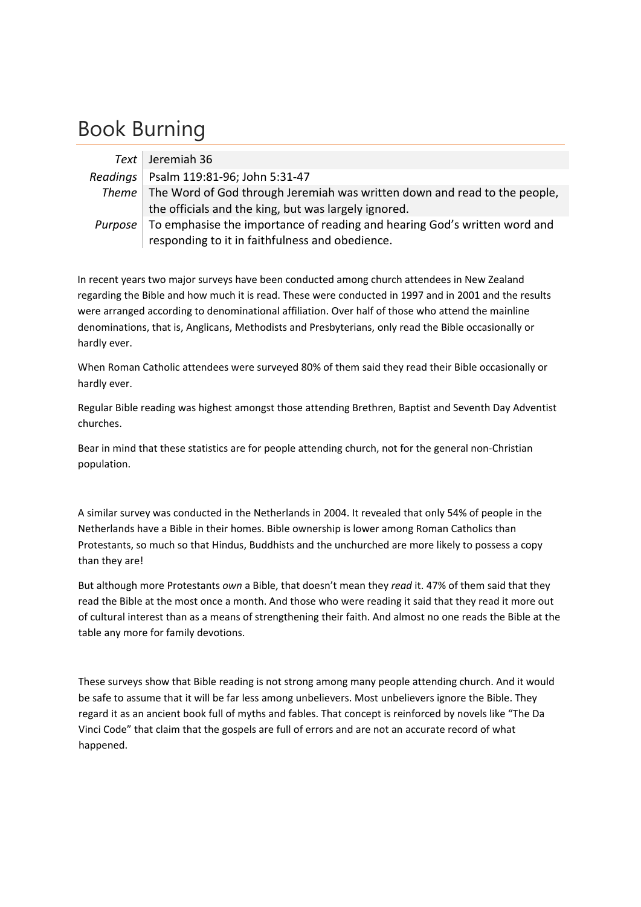## Book Burning

| Text Jeremiah 36                                                                         |
|------------------------------------------------------------------------------------------|
| Readings   Psalm 119:81-96; John 5:31-47                                                 |
| Theme   The Word of God through Jeremiah was written down and read to the people,        |
| the officials and the king, but was largely ignored.                                     |
| <i>Purpose</i> To emphasise the importance of reading and hearing God's written word and |
| responding to it in faithfulness and obedience.                                          |

In recent years two major surveys have been conducted among church attendees in New Zealand regarding the Bible and how much it is read. These were conducted in 1997 and in 2001 and the results were arranged according to denominational affiliation. Over half of those who attend the mainline denominations, that is, Anglicans, Methodists and Presbyterians, only read the Bible occasionally or hardly ever.

When Roman Catholic attendees were surveyed 80% of them said they read their Bible occasionally or hardly ever.

Regular Bible reading was highest amongst those attending Brethren, Baptist and Seventh Day Adventist churches.

Bear in mind that these statistics are for people attending church, not for the general non‐Christian population.

A similar survey was conducted in the Netherlands in 2004. It revealed that only 54% of people in the Netherlands have a Bible in their homes. Bible ownership is lower among Roman Catholics than Protestants, so much so that Hindus, Buddhists and the unchurched are more likely to possess a copy than they are!

But although more Protestants *own* a Bible, that doesn't mean they *read* it. 47% of them said that they read the Bible at the most once a month. And those who were reading it said that they read it more out of cultural interest than as a means of strengthening their faith. And almost no one reads the Bible at the table any more for family devotions.

These surveys show that Bible reading is not strong among many people attending church. And it would be safe to assume that it will be far less among unbelievers. Most unbelievers ignore the Bible. They regard it as an ancient book full of myths and fables. That concept is reinforced by novels like "The Da Vinci Code" that claim that the gospels are full of errors and are not an accurate record of what happened.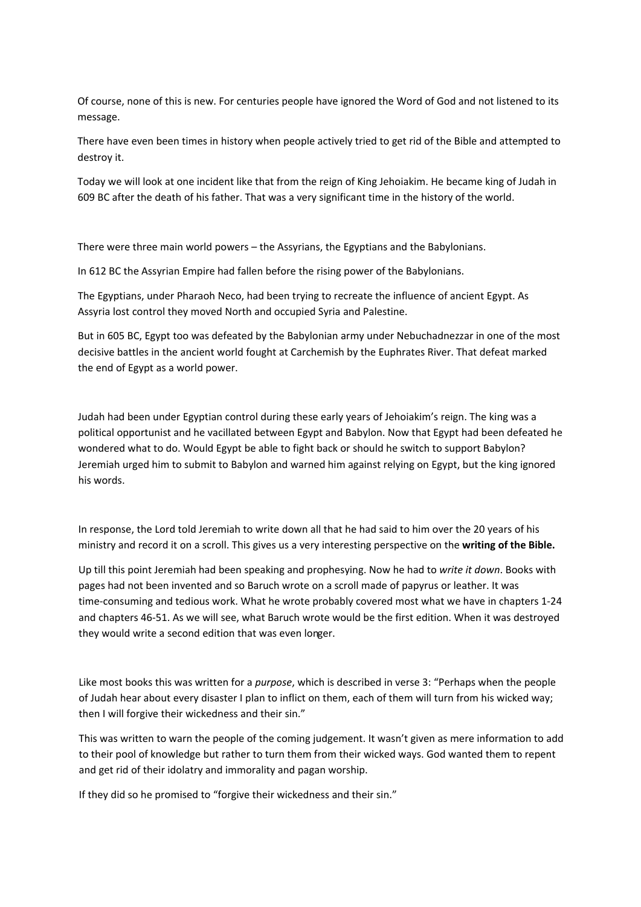Of course, none of this is new. For centuries people have ignored the Word of God and not listened to its message.

There have even been times in history when people actively tried to get rid of the Bible and attempted to destroy it.

Today we will look at one incident like that from the reign of King Jehoiakim. He became king of Judah in 609 BC after the death of his father. That was a very significant time in the history of the world.

There were three main world powers – the Assyrians, the Egyptians and the Babylonians.

In 612 BC the Assyrian Empire had fallen before the rising power of the Babylonians.

The Egyptians, under Pharaoh Neco, had been trying to recreate the influence of ancient Egypt. As Assyria lost control they moved North and occupied Syria and Palestine.

But in 605 BC, Egypt too was defeated by the Babylonian army under Nebuchadnezzar in one of the most decisive battles in the ancient world fought at Carchemish by the Euphrates River. That defeat marked the end of Egypt as a world power.

Judah had been under Egyptian control during these early years of Jehoiakim's reign. The king was a political opportunist and he vacillated between Egypt and Babylon. Now that Egypt had been defeated he wondered what to do. Would Egypt be able to fight back or should he switch to support Babylon? Jeremiah urged him to submit to Babylon and warned him against relying on Egypt, but the king ignored his words.

In response, the Lord told Jeremiah to write down all that he had said to him over the 20 years of his ministry and record it on a scroll. This gives us a very interesting perspective on the **writing of the Bible.**

they would write a second edition that was even longer. Up till this point Jeremiah had been speaking and prophesying. Now he had to *write it down*. Books with pages had not been invented and so Baruch wrote on a scroll made of papyrus or leather. It was time-consuming and tedious work. What he wrote probably covered most what we have in chapters 1-24 and chapters 46‐51. As we will see, what Baruch wrote would be the first edition. When it was destroyed

Like most books this was written for a *purpose*, which is described in verse 3: "Perhaps when the people of Judah hear about every disaster I plan to inflict on them, each of them will turn from his wicked way; then I will forgive their wickedness and their sin."

This was written to warn the people of the coming judgement. It wasn't given as mere information to add to their pool of knowledge but rather to turn them from their wicked ways. God wanted them to repent and get rid of their idolatry and immorality and pagan worship.

If they did so he promised to "forgive their wickedness and their sin."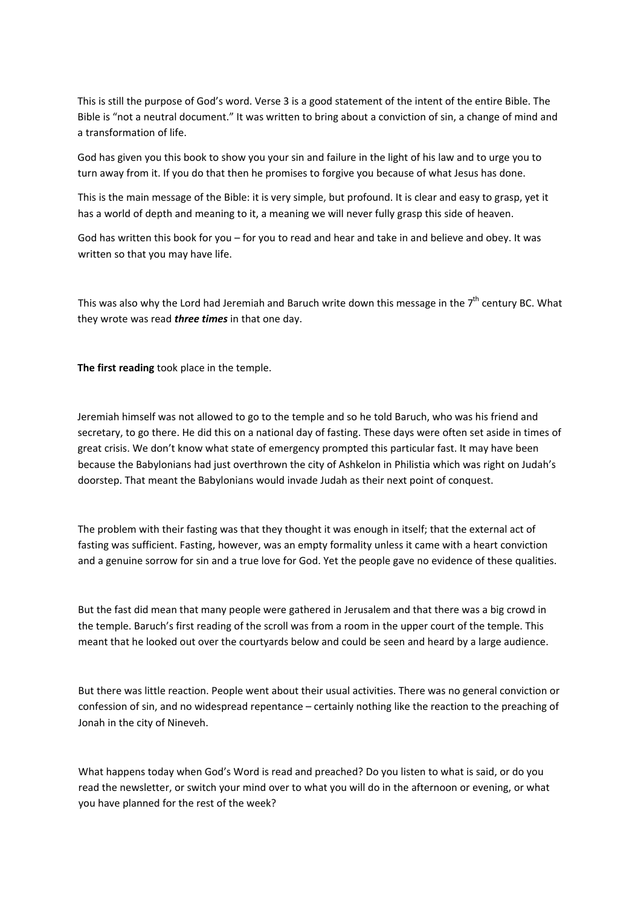This is still the purpose of God's word. Verse 3 is a good statement of the intent of the entire Bible. The Bible is "not a neutral document." It was written to bring about a conviction of sin, a change of mind and a transformation of life.

God has given you this book to show you your sin and failure in the light of his law and to urge you to turn away from it. If you do that then he promises to forgive you because of what Jesus has done.

This is the main message of the Bible: it is very simple, but profound. It is clear and easy to grasp, yet it has a world of depth and meaning to it, a meaning we will never fully grasp this side of heaven.

God has written this book for you – for you to read and hear and take in and believe and obey. It was written so that you may have life.

This was also why the Lord had Jeremiah and Baruch write down this message in the 7<sup>th</sup> century BC. What they wrote was read *three times* in that one day.

**The first reading** took place in the temple.

Jeremiah himself was not allowed to go to the temple and so he told Baruch, who was his friend and secretary, to go there. He did this on a national day of fasting. These days were often set aside in times of great crisis. We don't know what state of emergency prompted this particular fast. It may have been because the Babylonians had just overthrown the city of Ashkelon in Philistia which was right on Judah's doorstep. That meant the Babylonians would invade Judah as their next point of conquest.

The problem with their fasting was that they thought it was enough in itself; that the external act of fasting was sufficient. Fasting, however, was an empty formality unless it came with a heart conviction and a genuine sorrow for sin and a true love for God. Yet the people gave no evidence of these qualities.

But the fast did mean that many people were gathered in Jerusalem and that there was a big crowd in the temple. Baruch's first reading of the scroll was from a room in the upper court of the temple. This meant that he looked out over the courtyards below and could be seen and heard by a large audience.

But there was little reaction. People went about their usual activities. There was no general conviction or confession of sin, and no widespread repentance – certainly nothing like the reaction to the preaching of Jonah in the city of Nineveh.

What happens today when God's Word is read and preached? Do you listen to what is said, or do you read the newsletter, or switch your mind over to what you will do in the afternoon or evening, or what you have planned for the rest of the week?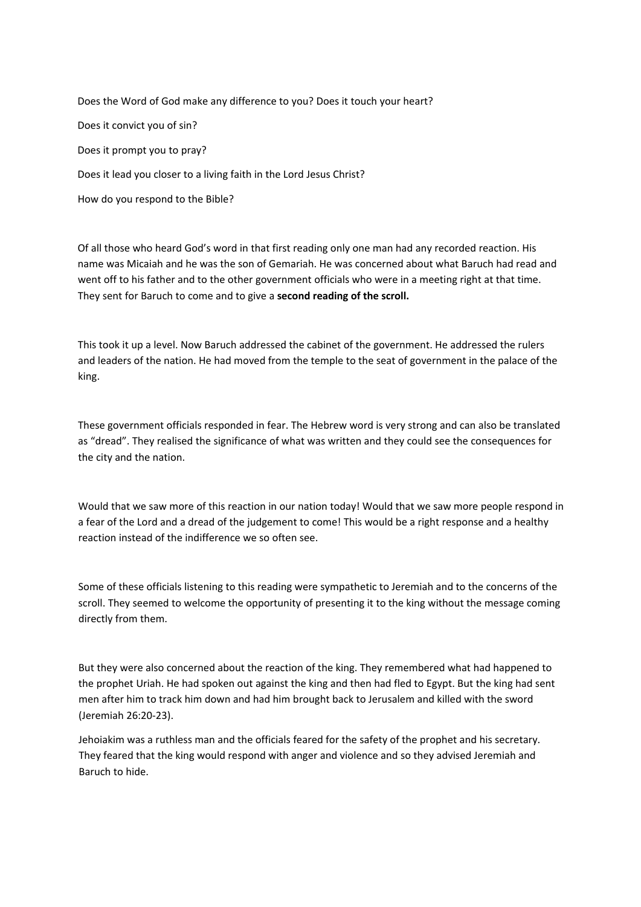Does the Word of God make any difference to you? Does it touch your heart? Does it convict you of sin? Does it prompt you to pray? Does it lead you closer to a living faith in the Lord Jesus Christ?

How do you respond to the Bible?

Of all those who heard God's word in that first reading only one man had any recorded reaction. His name was Micaiah and he was the son of Gemariah. He was concerned about what Baruch had read and went off to his father and to the other government officials who were in a meeting right at that time. They sent for Baruch to come and to give a **second reading of the scroll.**

This took it up a level. Now Baruch addressed the cabinet of the government. He addressed the rulers and leaders of the nation. He had moved from the temple to the seat of government in the palace of the king.

These government officials responded in fear. The Hebrew word is very strong and can also be translated as "dread". They realised the significance of what was written and they could see the consequences for the city and the nation.

Would that we saw more of this reaction in our nation today! Would that we saw more people respond in a fear of the Lord and a dread of the judgement to come! This would be a right response and a healthy reaction instead of the indifference we so often see.

Some of these officials listening to this reading were sympathetic to Jeremiah and to the concerns of the scroll. They seemed to welcome the opportunity of presenting it to the king without the message coming directly from them.

But they were also concerned about the reaction of the king. They remembered what had happened to the prophet Uriah. He had spoken out against the king and then had fled to Egypt. But the king had sent men after him to track him down and had him brought back to Jerusalem and killed with the sword (Jeremiah 26:20‐23).

Jehoiakim was a ruthless man and the officials feared for the safety of the prophet and his secretary. They feared that the king would respond with anger and violence and so they advised Jeremiah and Baruch to hide.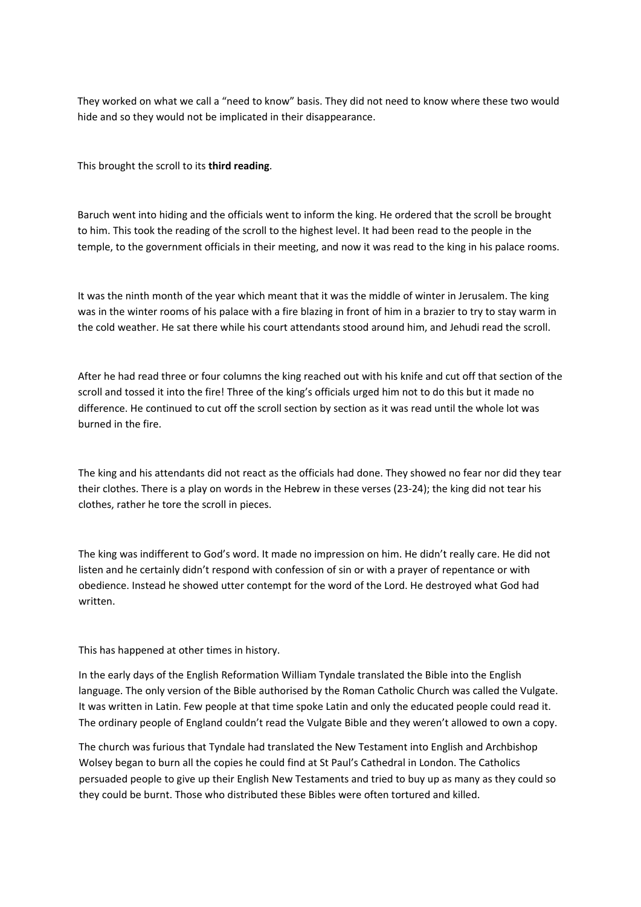They worked on what we call a "need to know" basis. They did not need to know where these two would hide and so they would not be implicated in their disappearance.

This brought the scroll to its **third reading**.

Baruch went into hiding and the officials went to inform the king. He ordered that the scroll be brought to him. This took the reading of the scroll to the highest level. It had been read to the people in the temple, to the government officials in their meeting, and now it was read to the king in his palace rooms.

It was the ninth month of the year which meant that it was the middle of winter in Jerusalem. The king was in the winter rooms of his palace with a fire blazing in front of him in a brazier to try to stay warm in the cold weather. He sat there while his court attendants stood around him, and Jehudi read the scroll.

After he had read three or four columns the king reached out with his knife and cut off that section of the scroll and tossed it into the fire! Three of the king's officials urged him not to do this but it made no difference. He continued to cut off the scroll section by section as it was read until the whole lot was burned in the fire.

The king and his attendants did not react as the officials had done. They showed no fear nor did they tear their clothes. There is a play on words in the Hebrew in these verses (23‐24); the king did not tear his clothes, rather he tore the scroll in pieces.

The king was indifferent to God's word. It made no impression on him. He didn't really care. He did not listen and he certainly didn't respond with confession of sin or with a prayer of repentance or with obedience. Instead he showed utter contempt for the word of the Lord. He destroyed what God had written.

This has happened at other times in history.

In the early days of the English Reformation William Tyndale translated the Bible into the English language. The only version of the Bible authorised by the Roman Catholic Church was called the Vulgate. It was written in Latin. Few people at that time spoke Latin and only the educated people could read it. The ordinary people of England couldn't read the Vulgate Bible and they weren't allowed to own a copy.

The church was furious that Tyndale had translated the New Testament into English and Archbishop Wolsey began to burn all the copies he could find at St Paul's Cathedral in London. The Catholics persuaded people to give up their English New Testaments and tried to buy up as many as they could so they could be burnt. Those who distributed these Bibles were often tortured and killed.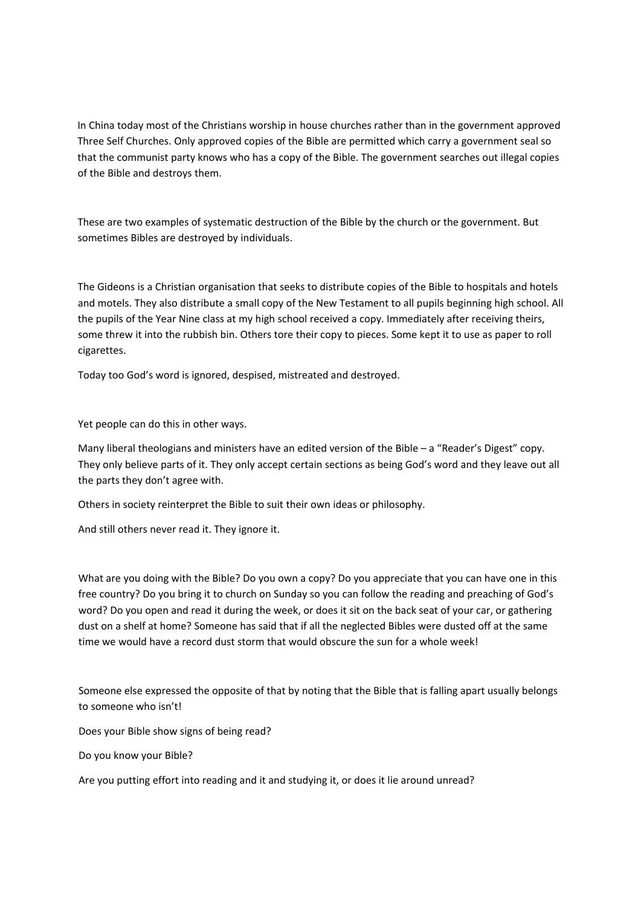In China today most of the Christians worship in house churches rather than in the government approved Three Self Churches. Only approved copies of the Bible are permitted which carry a government seal so that the communist party knows who has a copy of the Bible. The government searches out illegal copies of the Bible and destroys them.

These are two examples of systematic destruction of the Bible by the church or the government. But sometimes Bibles are destroyed by individuals.

The Gideons is a Christian organisation that seeks to distribute copies of the Bible to hospitals and hotels and motels. They also distribute a small copy of the New Testament to all pupils beginning high school. All the pupils of the Year Nine class at my high school received a copy. Immediately after receiving theirs, some threw it into the rubbish bin. Others tore their copy to pieces. Some kept it to use as paper to roll cigarettes.

Today too God's word is ignored, despised, mistreated and destroyed.

Yet people can do this in other ways.

Many liberal theologians and ministers have an edited version of the Bible – a "Reader's Digest" copy. They only believe parts of it. They only accept certain sections as being God's word and they leave out all the parts they don't agree with.

Others in society reinterpret the Bible to suit their own ideas or philosophy.

And still others never read it. They ignore it.

What are you doing with the Bible? Do you own a copy? Do you appreciate that you can have one in this free country? Do you bring it to church on Sunday so you can follow the reading and preaching of God's word? Do you open and read it during the week, or does it sit on the back seat of your car, or gathering dust on a shelf at home? Someone has said that if all the neglected Bibles were dusted off at the same time we would have a record dust storm that would obscure the sun for a whole week!

Someone else expressed the opposite of that by noting that the Bible that is falling apart usually belongs to someone who isn't!

Does your Bible show signs of being read?

Do you know your Bible?

Are you putting effort into reading and it and studying it, or does it lie around unread?